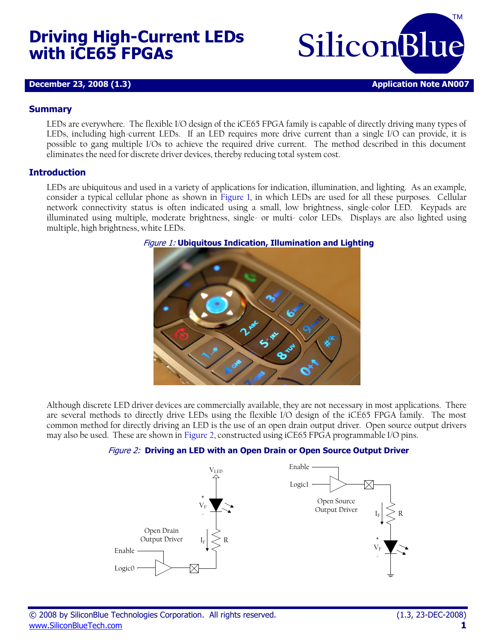# **Driving High-Current LEDs with iCE65 FPGAs**

**SiliconBlue** TM **December 23, 2008 (1.3) Application Note AN007** 

#### **Summary**

LEDs are everywhere. The flexible I/O design of the iCE65 FPGA family is capable of directly driving many types of LEDs, including high-current LEDs. If an LED requires more drive current than a single I/O can provide, it is possible to gang multiple I/Os to achieve the required drive current. The method described in this document eliminates the need for discrete driver devices, thereby reducing total system cost.

#### **Introduction**

<span id="page-0-0"></span>LEDs are ubiquitous and used in a variety of applications for indication, illumination, and lighting. As an example, consider a typical cellular phone as shown in [Figure 1,](#page-0-0) in which LEDs are used for all these purposes. Cellular network connectivity status is often indicated using a small, low brightness, single-color LED. Keypads are illuminated using multiple, moderate brightness, single- or multi- color LEDs. Displays are also lighted using multiple, high brightness, white LEDs.



#### Figure 1: **Ubiquitous Indication, Illumination and Lighting**

<span id="page-0-1"></span>Although discrete LED driver devices are commercially available, they are not necessary in most applications. There are several methods to directly drive LEDs using the flexible I/O design of the iCE65 FPGA family. The most common method for directly driving an LED is the use of an open drain output driver. Open source output drivers may also be used. These are shown in [Figure 2,](#page-0-1) constructed using iCE65 FPGA programmable I/O pins.

### Figure 2: **Driving an LED with an Open Drain or Open Source Output Driver**

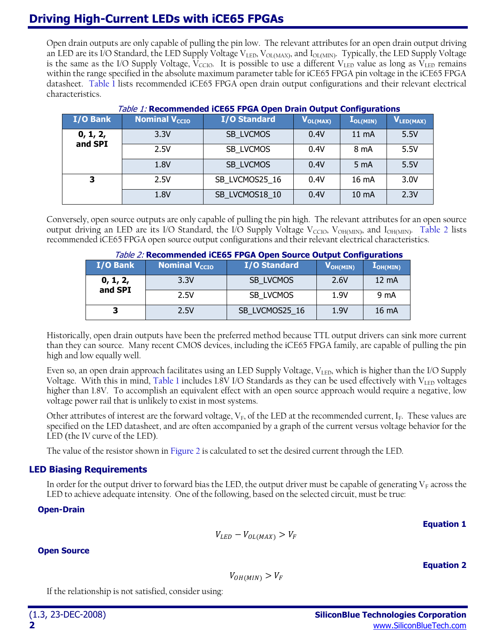# **Driving High-Current LEDs with iCE65 FPGAs**

Open drain outputs are only capable of pulling the pin low. The relevant attributes for an open drain output driving an LED are its I/O Standard, the LED Supply Voltage V $_{\rm LED}$ , V $_{\rm OL(MAX)}$ , and I $_{\rm OL(MIN)}$ . Typically, the LED Supply Voltage is the same as the I/O Supply Voltage,  $V_{CCIO}$ . It is possible to use a different  $V_{LED}$  value as long as  $V_{LED}$  remains within the range specified in the absolute maximum parameter table for iCE65 FPGA pin voltage in the iCE65 FPGA datasheet. [Table 1](#page-1-0) lists recommended iCE65 FPGA open drain output configurations and their relevant electrical characteristics.

<span id="page-1-0"></span>

| <i>Table 1.</i> Recommended ICE65 FPGA Open Drain Output Configurations |                           |                     |                                          |                  |                       |  |  |
|-------------------------------------------------------------------------|---------------------------|---------------------|------------------------------------------|------------------|-----------------------|--|--|
| I/O Bank                                                                | Nominal V <sub>ccro</sub> | <b>I/O Standard</b> | $\mathbf{V}_{\mathsf{OL}(\mathsf{MAX})}$ | $I_{OL(MIN)}$    | V <sub>LED(MAX)</sub> |  |  |
| 0, 1, 2,<br>and SPI                                                     | 3.3V                      | SB LVCMOS           | 0.4V                                     | $11 \text{ mA}$  | 5.5V                  |  |  |
|                                                                         | 2.5V                      | SB LVCMOS           | 0.4V                                     | 8 mA             | 5.5V                  |  |  |
|                                                                         | 1.8V                      | SB LVCMOS           | 0.4V                                     | 5 <sub>m</sub> A | 5.5V                  |  |  |
| 3                                                                       | 2.5V                      | SB LVCMOS25 16      | 0.4V                                     | 16 mA            | 3.0V                  |  |  |
|                                                                         | 1.8V                      | SB LVCMOS18 10      | 0.4V                                     | 10 mA            | 2.3V                  |  |  |

## Table 1: **Recommended iCE65 FPGA Open Drain Output Configurations**

<span id="page-1-1"></span>Conversely, open source outputs are only capable of pulling the pin high. The relevant attributes for an open source output driving an LED are its I/O Standard, the I/O Supply Voltage  $\rm V_{CCIO}$ ,  $\rm V_{OH(MIN)}$ , and I $_{OH(MIN)}$ . [Table 2](#page-1-1) lists recommended iCE65 FPGA open source output configurations and their relevant electrical characteristics.

| Table 2: Recommended ICE65 FPGA Open Source Output Configurations |                                 |                |                                          |                   |  |  |  |
|-------------------------------------------------------------------|---------------------------------|----------------|------------------------------------------|-------------------|--|--|--|
| I/O Bank                                                          | <b>Nominal V<sub>ccro</sub></b> | I/O Standard   | $\mathbf{V}_{\mathsf{OH}(\mathsf{MIN})}$ | $I_{OH(MIN)}$     |  |  |  |
| $0, 1, 2,$<br>and SPI                                             | 3.3V                            | SB LVCMOS      | 2.6V                                     | $12 \text{ mA}$   |  |  |  |
|                                                                   | 2.5V                            | SB LVCMOS      | 1.9V                                     | 9 mA              |  |  |  |
| З                                                                 | 2.5V                            | SB LVCMOS25 16 | 1.9V                                     | 16 <sub>m</sub> A |  |  |  |

Historically, open drain outputs have been the preferred method because TTL output drivers can sink more current than they can source. Many recent CMOS devices, including the iCE65 FPGA family, are capable of pulling the pin high and low equally well.

Even so, an open drain approach facilitates using an LED Supply Voltage,  $V_{\text{LED}}$ , which is higher than the I/O Supply Voltage. With this in mind, [Table 1](#page-1-0) includes 1.8V I/O Standards as they can be used effectively with  $V_{\text{LED}}$  voltages higher than 1.8V. To accomplish an equivalent effect with an open source approach would require a negative, low voltage power rail that is unlikely to exist in most systems.

Other attributes of interest are the forward voltage,  $V_F$ , of the LED at the recommended current,  $I_F$ . These values are specified on the LED datasheet, and are often accompanied by a graph of the current versus voltage behavior for the LED (the IV curve of the LED).

The value of the resistor shown i[n Figure 2](#page-0-1) is calculated to set the desired current through the LED.

# **LED Biasing Requirements**

In order for the output driver to forward bias the LED, the output driver must be capable of generating  $V_F$  across the LED to achieve adequate intensity. One of the following, based on the selected circuit, must be true:

### <span id="page-1-2"></span>**Open-Drain**

$$
V_{LED} - V_{OL(MAX)} > V_F
$$

**Open Source**

**Equation 2**

**Equation 1**

 $V_{OH(MIN)} > V_F$ 

If the relationship is not satisfied, consider using: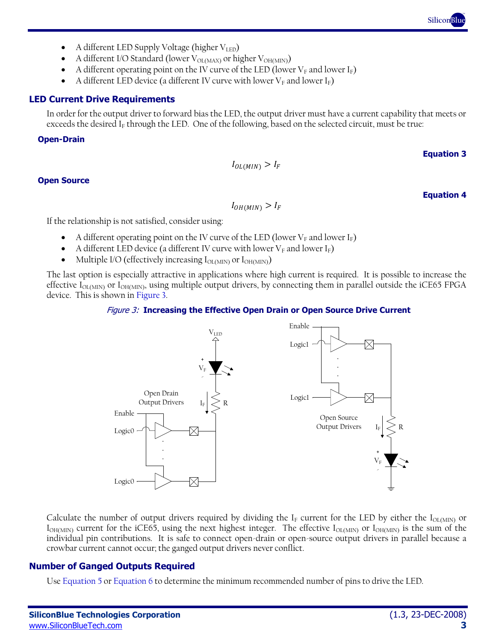- A different I/O Standard (lower  $V_{OL(MAX)}$  or higher  $V_{OH(MIN)}$ )
- A different operating point on the IV curve of the LED (lower  $V_F$  and lower  $I_F$ )
- A different LED device (a different IV curve with lower  $V_F$  and lower  $I_F$ )

# **LED Current Drive Requirements**

In order for the output driver to forward bias the LED, the output driver must have a current capability that meets or exceeds the desired  $I_F$  through the LED. One of the following, based on the selected circuit, must be true:

## **Open-Drain**

# $I_{OL(MIN)} > I_F$

# **Open Source**

 $I_{OH(MIN)} > I_F$ 

If the relationship is not satisfied, consider using:

- A different operating point on the IV curve of the LED (lower  $V_F$  and lower I<sub>F</sub>)
- A different LED device (a different IV curve with lower  $V_F$  and lower I<sub>F</sub>)
- Multiple I/O (effectively increasing  $I_{OL(MIN)}$  or  $I_{OH(MIN)}$ )

<span id="page-2-0"></span>The last option is especially attractive in applications where high current is required. It is possible to increase the effective I $_{\rm OL(MIN)}$  or I $_{\rm OH(MIN)}$ , using multiple output drivers, by connecting them in parallel outside the iCE65 FPGA device. This is shown in [Figure 3.](#page-2-0)

# Figure 3: **Increasing the Effective Open Drain or Open Source Drive Current**

Calculate the number of output drivers required by dividing the I<sub>F</sub> current for the LED by either the I<sub>OL(MIN)</sub> or  $I_{OH(MIN)}$  current for the iCE65, using the next highest integer. The effective  $I_{OL(MIN)}$  or  $I_{OH(MIN)}$  is the sum of the individual pin contributions. It is safe to connect open-drain or open-source output drivers in parallel because a crowbar current cannot occur; the ganged output drivers never conflict.

# **Number of Ganged Outputs Required**

Use [Equation 5](#page-3-0) or [Equation 6](#page-3-1) to determine the minimum recommended number of pins to drive the LED.



**Equation 3**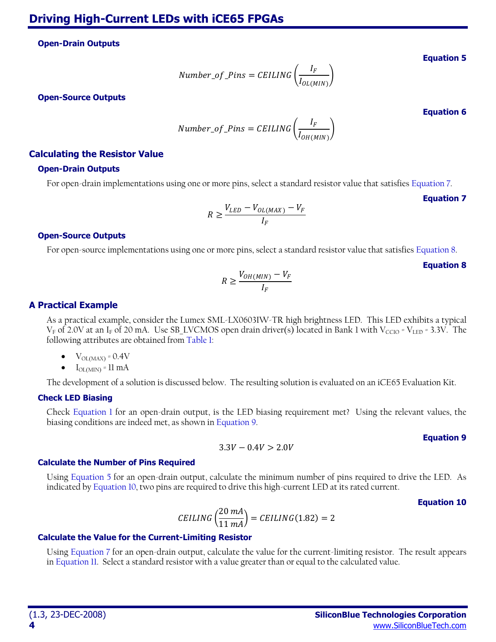<span id="page-3-0"></span>**Open-Drain Outputs**

Number\_of\_Pins = CELING 
$$
\left(\frac{I_F}{I_{OL(MIN)}}\right)
$$

<span id="page-3-1"></span>**Open-Source Outputs**

Number\_of\_Pins = CELING 
$$
\left(\frac{I_F}{I_{OH(MIN)}}\right)
$$

### **Calculating the Resistor Value**

#### **Open-Drain Outputs**

<span id="page-3-2"></span>For open-drain implementations using one or more pins, select a standard resistor value that satisfies [Equation 7.](#page-3-2)

**Equation 7**

$$
R \ge \frac{V_{LED} - V_{OL(MAX)} - V_F}{I_F}
$$

#### **Open-Source Outputs**

<span id="page-3-3"></span>For open-source implementations using one or more pins, select a standard resistor value that satisfie[s Equation 8.](#page-3-3)

**Equation 8**

$$
R \geq \frac{V_{OH(MIN)} - V_F}{I_F}
$$

#### **A Practical Example**

As a practical example, consider the Lumex SML-LX0603IW-TR high brightness LED. This LED exhibits a typical  $V_F$  of 2.0V at an I<sub>F</sub> of 20 mA. Use SB\_LVCMOS open drain driver(s) located in Bank 1 with V<sub>CCIO</sub> = V<sub>LED</sub> = 3.3V. The following attributes are obtained from [Table 1:](#page-1-0)

- $\bullet$   $V_{OL(MAX)} = 0.4V$
- $I_{\text{OL(MIN)}} = 11 \text{ mA}$

The development of a solution is discussed below. The resulting solution is evaluated on an iCE65 Evaluation Kit.

#### **Check LED Biasing**

Check [Equation 1](#page-1-2) for an open-drain output, is the LED biasing requirement met? Using the relevant values, the biasing conditions are indeed met, as shown in [Equation 9.](#page-3-4)

 $3.3V - 0.4V > 2.0V$ 

#### **Equation 9**

#### <span id="page-3-4"></span>**Calculate the Number of Pins Required**

<span id="page-3-5"></span>Using [Equation 5](#page-3-0) for an open-drain output, calculate the minimum number of pins required to drive the LED. As indicated by [Equation 10,](#page-3-5) two pins are required to drive this high-current LED at its rated current.

#### **Equation 10**

$$
CEILING\left(\frac{20\ mA}{11\ mA}\right) = CEILING(1.82) = 2
$$

#### **Calculate the Value for the Current-Limiting Resistor**

Using [Equation 7](#page-3-2) for an open-drain output, calculate the value for the current-limiting resistor. The result appears in [Equation 11.](#page-4-0) Select a standard resistor with a value greater than or equal to the calculated value.

**Equation 5**

**Equation 6**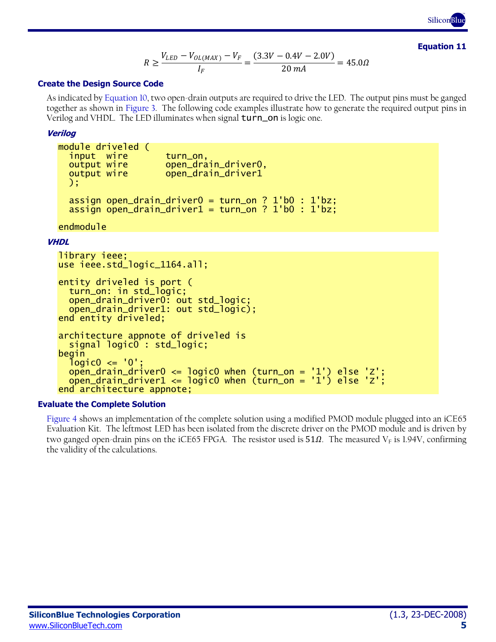**SiliconBlue** TM

**Equation 11**

$$
R \ge \frac{V_{LED} - V_{OL(MAX)} - V_F}{I_F} = \frac{(3.3V - 0.4V - 2.0V)}{20 \, mA} = 45.0 \, \Omega
$$

#### <span id="page-4-0"></span>**Create the Design Source Code**

As indicated by [Equation 10,](#page-3-5) two open-drain outputs are required to drive the LED. The output pins must be ganged together as shown in [Figure 3.](#page-2-0) The following code examples illustrate how to generate the required output pins in Verilog and VHDL. The LED illuminates when signal turn\_on is logic one.

#### **Verilog**

```
module driveled (
  input wire turn_on,<br>output wire    open_dra
                     open_drain_driver0,
   output wire open_drain_driver1
   );
 assign open_drain_driver0 = turn_on ? 1'b0 : 1'bz;
 assign open_drain_driver1 = turn_on ? 1'b0 : 1'bz;
```
endmodule

#### **VHDL**

```
library ieee;
use ieee.std_logic_1164.all;
```

```
entity driveled is port (
   turn_on: in std_logic;
   open_drain_driver0: out std_logic;
   open_drain_driver1: out std_logic);
end entity driveled;
architecture appnote of driveled is
   signal logic0 : std_logic;
begin
  logic0 \leq 0 open_drain_driver0 <= logic0 when (turn_on = '1') else 'Z';
 open_drain_driver1 <= logic0 when (turn_on = '1') else 'Z';
end architecture appnote;
```
#### **Evaluate the Complete Solution**

[Figure 4](#page-5-0) shows an implementation of the complete solution using a modified PMOD module plugged into an iCE65 Evaluation Kit. The leftmost LED has been isolated from the discrete driver on the PMOD module and is driven by two ganged open-drain pins on the iCE65 FPGA. The resistor used is  $51\Omega$ . The measured V<sub>F</sub> is 1.94V, confirming the validity of the calculations.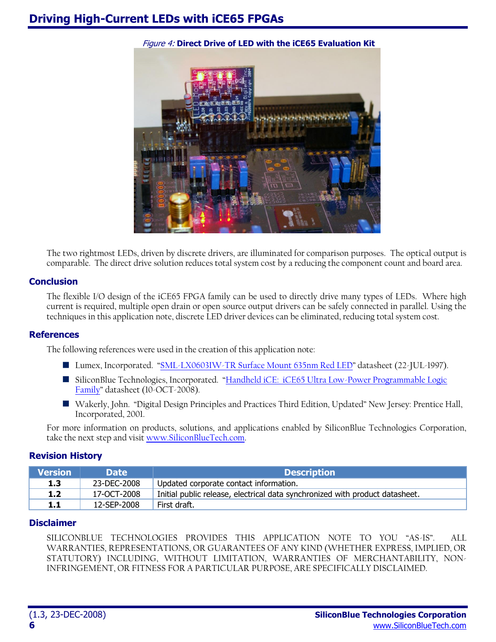<span id="page-5-0"></span>

Figure 4: **Direct Drive of LED with the iCE65 Evaluation Kit**

The two rightmost LEDs, driven by discrete drivers, are illuminated for comparison purposes. The optical output is comparable. The direct drive solution reduces total system cost by a reducing the component count and board area.

### **Conclusion**

The flexible I/O design of the iCE65 FPGA family can be used to directly drive many types of LEDs. Where high current is required, multiple open drain or open source output drivers can be safely connected in parallel. Using the techniques in this application note, discrete LED driver devices can be eliminated, reducing total system cost.

### **References**

The following references were used in the creation of this application note:

- Lumex, Incorporated. "[SML-LX0603IW-TR Surface Mount 635nm Red LED](http://www.lumex.com/pdf/SML-LX0603IW-TR.pdf)" datasheet (22-JUL-1997).
- SiliconBlue Technologies, Incorporated. "Handheld iCE: iCE65 Ultra Low-Power Programmable Logic [Family](http://www.siliconbluetech.com/media/iCE65Datasheet.pdf)" datasheet (10-OCT-2008).
- Wakerly, John. "Digital Design Principles and Practices Third Edition, Updated" New Jersey: Prentice Hall, Incorporated, 2001.

For more information on products, solutions, and applications enabled by SiliconBlue Technologies Corporation, take the next step and visit [www.SiliconBlueTech.com.](http://www.siliconbluetech.com/)

# **Revision History**

| <b>Nersion</b> | <b>Date</b> | <b>Description</b>                                                           |
|----------------|-------------|------------------------------------------------------------------------------|
| 1.3            | 23-DEC-2008 | Updated corporate contact information.                                       |
| 1.2            | 17-OCT-2008 | Initial public release, electrical data synchronized with product datasheet. |
| 1.1            | 12-SEP-2008 | First draft.                                                                 |

# **Disclaimer**

SILICONBLUE TECHNOLOGIES PROVIDES THIS APPLICATION NOTE TO YOU "AS-IS". ALL WARRANTIES, REPRESENTATIONS, OR GUARANTEES OF ANY KIND (WHETHER EXPRESS, IMPLIED, OR STATUTORY) INCLUDING, WITHOUT LIMITATION, WARRANTIES OF MERCHANTABILITY, NON-INFRINGEMENT, OR FITNESS FOR A PARTICULAR PURPOSE, ARE SPECIFICALLY DISCLAIMED.